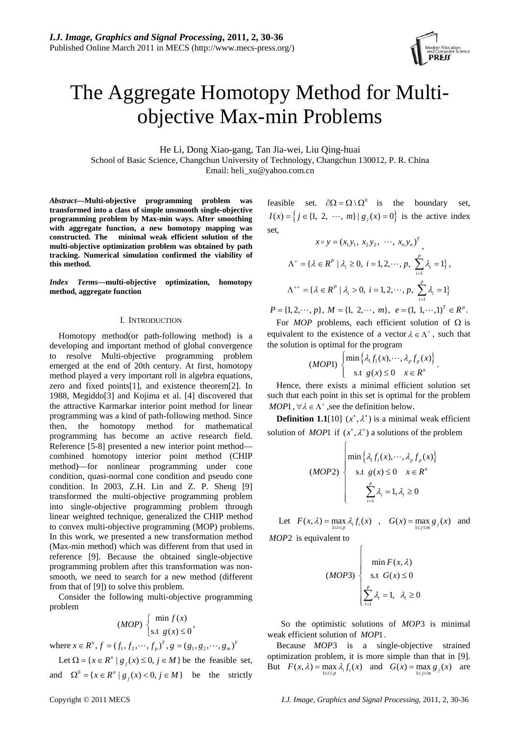# The Aggregate Homotopy Method for Multiobjective Max-min Problems

He Li, Dong Xiao-gang, Tan Jia-wei, Liu Qing-huai School of Basic Science, Changchun University of Technology, Changchun 130012, P. R. China Email: heli\_xu@yahoo.com.cn

*Abstract***—Multi-objective programming problem was transformed into a class of simple unsmooth single-objective programming problem by Max-min ways. After smoothing with aggregate function, a new homotopy mapping was constructed. The minimal weak efficient solution of the multi-objective optimization problem was obtained by path tracking. Numerical simulation confirmed the viability of this method.** 

*Index Terms***—multi-objective optimization, homotopy method, aggregate function** 

# I. INTRODUCTION

Homotopy method(or path-following method) is a developing and important method of global convergence to resolve Multi-objective programming problem emerged at the end of 20th century. At first, homotopy method played a very important roll in algebra equations, zero and fixed points[1], and existence theorem[2]. In 1988, Megiddo[3] and Kojima et al. [4] discovered that the attractive Karmarkar interior point method for linear programming was a kind of path-following method. Since then, the homotopy method for mathematical programming has become an active research field. Reference [5-8] presented a new interior point method combined homotopy interior point method (CHIP method)—for nonlinear programming under cone condition, quasi-normal cone condition and pseudo cone condition. In 2003, Z.H. Lin and Z. P. Sheng [9] transformed the multi-objective programming problem into single-objective programming problem through linear weighted technique, generalized the CHIP method to convex multi-objective programming (MOP) problems. In this work, we presented a new transformation method (Max-min method) which was different from that used in reference [9]. Because the obtained single-objective programming problem after this transformation was nonsmooth, we need to search for a new method (different from that of [9]) to solve this problem.

Consider the following multi-objective programming problem

$$
(MOP) \begin{cases} \min f(x) \\ \text{s.t } g(x) \le 0 \end{cases}
$$

where  $x \in R^n$ ,  $f = (f_1, f_2, \dots, f_p)^T$ ,  $g = (g_1, g_2, \dots, g_m)^T$ 

Let  $\Omega = \{x \in R^n | g_j(x) \le 0, j \in M\}$  be the feasible set, and  $\Omega^0 = \{x \in R^n \mid g_j(x) < 0, j \in M\}$  be the strictly

feasible set.  $\partial \Omega = \Omega \setminus \Omega^0$  is the boundary set,  $I(x) = \left\{ j \in \{1, 2, \dots, m\} \mid g_j(x) = 0 \right\}$  is the active index set,

$$
x \circ y = (x_1 y_1, x_2 y_2, \dots, x_n y_n)^T,
$$
  
\n
$$
\Lambda^+ = \{ \lambda \in R^P \mid \lambda_i \ge 0, \ i = 1, 2, \dots, p, \sum_{i=1}^P \lambda_i = 1 \},
$$
  
\n
$$
\Lambda^{++} = \{ \lambda \in R^P \mid \lambda_i > 0, \ i = 1, 2, \dots, p, \sum_{i=1}^P \lambda_i = 1 \}
$$

 $P = \{1, 2, \dots, p\}, M = \{1, 2, \dots, m\}, e = \left(1, 1, \dots, 1\right)^T \in R^p.$ 

For *MOP* problems, each efficient solution of  $\Omega$  is equivalent to the existence of a vector  $\lambda \in \Lambda^+$ , such that the solution is optimal for the program

$$
(MOP1)\left\{\begin{aligned}\min\left\{\lambda_1 f_1(x),\cdots,\lambda_p f_p(x)\right\}\\ \text{s.t } g(x) \leq 0 \quad x \in R^n\end{aligned}\right\}.
$$

*MOP*1,  $\forall \lambda \in \Lambda^+$ , see the definition below. Hence, there exists a minimal efficient solution set such that each point in this set is optimal for the problem

**Definition 1.1**[10]  $(x^*, \lambda^*)$  is a minimal weak efficient solution of *MOP*1 if  $(x^*, \lambda^*)$  a solutions of the problem

 $\sqrt{2}$ 

$$
(MOP2)
$$
\n
$$
\begin{cases}\n\min\left\{\lambda_1 f_1(x), \cdots, \lambda_p f_p(x)\right\} \\
\text{s.t } g(x) \le 0 \quad x \in R^n \\
\sum_{i=1}^p \lambda_i = 1, \lambda_i \ge 0\n\end{cases}
$$

Let  $F(x, \lambda) = \max_{1 \le i \le p} \lambda_i f_i(x)$ ,  $G(x) = \max_{1 \le j \le m} g_j(x)$  and

 $\sqrt{ }$ 

*MOP*2 is equivalent to

$$
(MOP3) \begin{cases} \min F(x, \lambda) \\ \text{s.t } G(x) \le 0 \\ \sum_{i=1}^{p} \lambda_i = 1, \lambda_i \ge 0 \end{cases}
$$

 So the optimistic solutions of *MOP*3 is minimal weak efficient solution of *MOP*1.

Because *MOP*3 is a single-objective strained But  $F(x, \lambda) = \max_{1 \le i \le p} \lambda_i f_i(x)$  and  $G(x) = \max_{1 \le j \le m} g_j(x)$  are optimization problem, it is more simple than that in [9].

Copyright © 2011 MECS *I.J. Image, Graphics and Signal Processing*, 2011, 2, 30-36

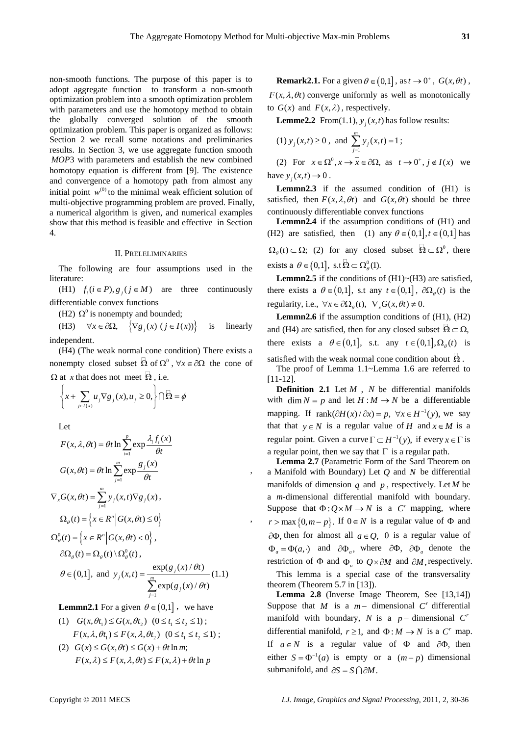,

non-smooth functions. The purpose of this paper is to adopt aggregate function to transform a non-smooth optimization problem into a smooth optimization problem with parameters and use the homotopy method to obtain the globally converged solution of the smooth optimization problem. This paper is organized as follows: Section 2 we recall some notations and preliminaries results. In Section 3, we use aggregate function smooth *MOP*3 with parameters and establish the new combined homotopy equation is different from [9]. The existence and convergence of a homotopy path from almost any initial point  $w^{(0)}$  to the minimal weak efficient solution of multi-objective programming problem are proved. Finally, a numerical algorithm is given, and numerical examples show that this method is feasible and effective in Section 4.

#### II. PRELELIMINARIES

The following are four assumptions used in the literature:

(H1)  $f_i (i \in P), g_j (j \in M)$  are three continuously differentiable convex functions

(H2)  $\Omega^0$  is nonempty and bounded;

(H3)  $\forall x \in \partial \Omega$ ,  $\left\{ \nabla g_j(x) \ (j \in I(x)) \right\}$  is linearly independent.

(H4) (The weak normal cone condition) There exists a nonempty closed subset  $\overline{\Omega}$  of  $\Omega^0$ ,  $\forall x \in \partial\Omega$  the cone of  $\Omega$  at *x* that does not meet  $\overline{\Omega}$ , i.e.

$$
\left\{x+\sum_{j\in I(x)}u_j\nabla g_j(x),u_j\geq 0,\right\}\cap \overline{\Omega}=\phi
$$

Let

$$
F(x, \lambda, \theta t) = \theta t \ln \sum_{i=1}^{p} \exp \frac{\lambda_i f_i(x)}{\theta t}
$$
  
\n
$$
G(x, \theta t) = \theta t \ln \sum_{j=1}^{m} \exp \frac{g_j(x)}{\theta t}
$$
  
\n
$$
\nabla_x G(x, \theta t) = \sum_{j=1}^{m} y_j(x, t) \nabla g_j(x),
$$
  
\n
$$
\Omega_{\theta}(t) = \left\{ x \in R^n \middle| G(x, \theta t) \le 0 \right\}
$$
  
\n
$$
\Omega_{\theta}^{0}(t) = \left\{ x \in R^n \middle| G(x, \theta t) < 0 \right\},
$$
  
\n
$$
\partial \Omega_{\theta}(t) = \Omega_{\theta}(t) \setminus \Omega_{\theta}^{0}(t),
$$
  
\n
$$
\theta \in (0, 1], \text{ and } y_j(x, t) = \frac{\exp(g_j(x)/\theta t)}{\sum_{j=1}^{m} \exp(g_j(x)/\theta t)}
$$
(1.1)

**Lemmn2.1** For a given  $\theta \in (0,1]$ , we have

- (1)  $G(x, \theta t_1) \le G(x, \theta t_2)$   $(0 \le t_1 \le t_2 \le 1)$ ;  $F(x, \lambda, \theta t_1) \leq F(x, \lambda, \theta t_2) \quad (0 \leq t_1 \leq t_2 \leq 1);$
- (2)  $G(x) \leq G(x, \theta) \leq G(x) + \theta t \ln m$ ;  $F(x, \lambda) \leq F(x, \lambda, \theta t) \leq F(x, \lambda) + \theta t \ln p$

**Remark2.1.** For a given  $\theta \in (0,1]$ , as  $t \to 0^+$ ,  $G(x, \theta t)$ ,  $F(x, \lambda, \theta t)$  converge uniformly as well as monotonically to  $G(x)$  and  $F(x, \lambda)$ , respectively.

**Lemme2.2** From(1.1),  $y_i(x,t)$  has follow results:

(1) 
$$
y_j(x,t) \ge 0
$$
, and  $\sum_{j=1}^{m} y_j(x,t) = 1$ ;  
\n(2) For  $x \in \Omega^0, x \to \overline{x} \in \partial\Omega$ , as  $t \to 0^+, j \notin I(x)$  we

have  $y_j(x,t) \to 0$ .

Lemmn2.3 if the assumed condition of  $(H1)$  is satisfied, then  $F(x, \lambda, \theta t)$  and  $G(x, \theta t)$  should be three continuously differentiable convex functions

**Lemmn2.4** if the assumption conditions of (H1) and (H2) are satisfied, then (1) any  $\theta \in (0,1]$ ,  $t \in (0,1]$  has  $\Omega_{\theta}(t) \subset \Omega$ ; (2) for any closed subset  $\Theta \subset \Omega^0$ , there exists a  $\theta \in (0,1]$ , s.t  $\Theta \subset \Omega^0_{\theta}(1)$ .

Lemmn2.5 if the conditions of (H1)~(H3) are satisfied, there exists a  $\theta \in (0,1]$ , s.t any  $t \in (0,1]$ ,  $\partial \Omega_{\theta}(t)$  is the regularity, i.e.,  $\forall x \in \partial \Omega_{\theta}(t)$ ,  $\nabla_{x} G(x, \theta t) \neq 0$ .

**Lemmn2.6** if the assumption conditions of (H1), (H2) and (H4) are satisfied, then for any closed subset  $\mathcal{Q} \subset \Omega$ , there exists a  $\theta \in (0,1]$ , s.t. any  $t \in (0,1]$ ,  $\Omega_{\theta}(t)$  is satisfied with the weak normal cone condition about  $\Omega$ .

The proof of Lemma 1.1~Lemma 1.6 are referred to [11-12].

**Definition 2.1** Let  $M$ ,  $N$  be differential manifolds with  $\dim N = p$  and let  $H : M \to N$  be a differentiable mapping. If rank $(\partial H(x)/\partial x) = p$ ,  $\forall x \in H^{-1}(y)$ , we say that that  $y \in N$  is a regular value of *H* and  $x \in M$  is a regular point. Given a curve  $\Gamma \subset H^{-1}(y)$ , if every  $x \in \Gamma$  is a regular point, then we say that  $\Gamma$  is a regular path.

**Lemma 2.7** (Parametric Form of the Sard Theorem on a Manifold with Boundary) Let  $Q$  and  $N$  be differential manifolds of dimension  $q$  and  $p$ , respectively. Let  $M$  be a *m*-dimensional differential manifold with boundary. Suppose that  $\Phi: Q \times M \to N$  is a C<sup>r</sup> mapping, where  $r > \max\{0, m - p\}$ . If  $0 \in N$  is a regular value of  $\Phi$  and ∂Φ, then for almost all *a*∈*Q*, 0 is a regular value of  $\Phi_a = \Phi(a, \cdot)$  and  $\partial \Phi_a$ , where  $\partial \Phi_a$ ,  $\partial \Phi_a$  denote the restriction of  $\Phi$  and  $\Phi_a$  to  $Q \times \partial M$  and  $\partial M$ , respectively.

This lemma is a special case of the transversality theorem (Theorem 5.7 in [13]).

**Lemma 2.8** (Inverse Image Theorem, See [13,14]) Suppose that *M* is a  $m-$  dimensional  $C<sup>r</sup>$  differential manifold with boundary, *N* is a  $p-$  dimensional C' differential manifold,  $r \geq 1$ , and  $\Phi : M \to N$  is a  $C^r$  map. If  $a \in N$  is a regular value of  $\Phi$  and  $\partial \Phi$ , then either  $S = \Phi^{-1}(a)$  is empty or a  $(m-p)$  dimensional submanifold, and  $\partial S = S \cap \partial M$ .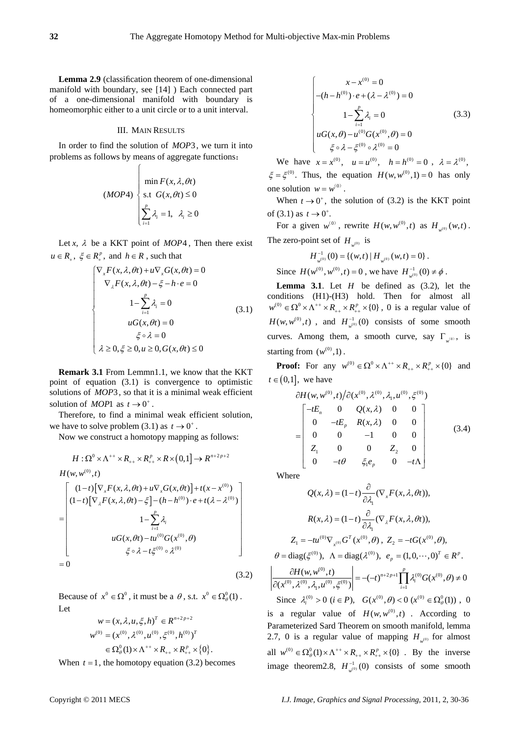**Lemma 2.9** (classification theorem of one-dimensional manifold with boundary, see [14] ) Each connected part of a one-dimensional manifold with boundary is homeomorphic either to a unit circle or to a unit interval.

# III. MAIN RESULTS

In order to find the solution of *MOP*3, we turn it into problems as follows by means of aggregate functions:

⎧

$$
(MOP4) \begin{cases} \min F(x, \lambda, \theta t) \\ \text{s.t } G(x, \theta t) \le 0 \\ \sum_{i=1}^{p} \lambda_i = 1, \ \lambda_i \ge 0 \end{cases}
$$

Let *x*,  $\lambda$  be a KKT point of *MOP*4, Then there exist  $u \in R_+$ ,  $\xi \in R_+^p$ , and  $h \in R$ , such that

$$
\begin{cases}\n\nabla_x F(x, \lambda, \theta t) + u \nabla_x G(x, \theta t) = 0 \\
\nabla_x F(x, \lambda, \theta t) - \xi - h \cdot e = 0 \\
1 - \sum_{i=1}^p \lambda_i = 0 \\
uG(x, \theta t) = 0 \\
\xi \circ \lambda = 0 \\
\lambda \ge 0, \xi \ge 0, u \ge 0, G(x, \theta t) \le 0\n\end{cases}
$$
\n(3.1)

**Remark 3.1** From Lemmn1.1, we know that the KKT point of equation (3.1) is convergence to optimistic solutions of *MOP*3, so that it is a minimal weak efficient solution of *MOP*1 as  $t \rightarrow 0^+$ .

Therefore, to find a minimal weak efficient solution, we have to solve problem (3.1) as  $t \to 0^+$ .

Now we construct a homotopy mapping as follows:

$$
H: \Omega^{0} \times \Lambda^{++} \times R_{++} \times R_{++}^{p} \times R \times (0,1] \to R^{n+2p+2}
$$
  
\n
$$
H(w, w^{(0)}, t)
$$
  
\n
$$
\begin{bmatrix}\n(1-t)[\nabla_{x}F(x, \lambda, \theta t) + u \nabla_{x}G(x, \theta t)] + t(x - x^{(0)}) \\
(1-t)[\nabla_{\lambda}F(x, \lambda, \theta t) - \xi] - (h - h^{(0)}) \cdot e + t(\lambda - \lambda^{(0)}) \\
1 - \sum_{i=1}^{p} \lambda_{i} \\
uG(x, \theta t) - tu^{(0)}G(x^{(0)}, \theta) \\
\xi \circ \lambda - t \xi^{(0)} \circ \lambda^{(0)}\n\end{bmatrix}
$$
  
\n= 0 (3.2)

Because of  $x^0 \in \Omega^0$ , it must be a  $\theta$ , s.t.  $x^0 \in \Omega^0_{\theta}(1)$ . Let

$$
w = (x, \lambda, u, \xi, h)^T \in R^{n+2p+2}
$$
  

$$
w^{(0)} = (x^{(0)}, \lambda^{(0)}, u^{(0)}, \xi^{(0)}, h^{(0)})^T
$$
  

$$
\in \Omega^0_{\theta}(1) \times \Lambda^{++} \times R_{++} \times R_{++}^p \times \{0\}.
$$

When  $t = 1$ , the homotopy equation (3.2) becomes

$$
\begin{cases}\n x - x^{(0)} = 0 \\
 -(h - h^{(0)}) \cdot e + (\lambda - \lambda^{(0)}) = 0 \\
 1 - \sum_{i=1}^{p} \lambda_i = 0 \\
 uG(x, \theta) - u^{(0)}G(x^{(0)}, \theta) = 0 \\
 \xi \circ \lambda - \xi^{(0)} \circ \lambda^{(0)} = 0\n\end{cases} (3.3)
$$

We have  $x = x^{(0)}$ ,  $u = u^{(0)}$ ,  $h = h^{(0)} = 0$ ,  $\lambda = \lambda^{(0)}$ .  $\xi = \xi^{(0)}$ . Thus, the equation  $H(w, w^{(0)}, 1) = 0$  has only one solution  $w = w^{(0)}$ .

When  $t \to 0^+$ , the solution of (3.2) is the KKT point of (3.1) as  $t \to 0^+$ .

For a given  $w^{(0)}$ , rewrite  $H(w, w^{(0)}, t)$  as  $H_{w^{(0)}}(w, t)$ . The zero-point set of  $H_{\mu^{(0)}}$  is

$$
H_{w^{(0)}}^{-1}(0) = \{(w,t) | H_{w^{(0)}}(w,t) = 0\}.
$$

Since  $H(w^{(0)}, w^{(0)}, t) = 0$ , we have  $H_{w^{(0)}}^{-1}(0) \neq \phi$ .

**Lemma 3.1**. Let  $H$  be defined as  $(3.2)$ , let the conditions (H1)-(H3) hold. Then for almost all  $w^{(0)} \in \Omega^0 \times \Lambda^{++} \times R_{++} \times R_{++}^p \times \{0\}$ , 0 is a regular value of  $H(w, w^{(0)}, t)$ , and  $H_{w^{(0)}}^{-1}(0)$  consists of some smooth starting from  $(w^{(0)}, 1)$ . curves. Among them, a smooth curve, say  $\Gamma_{w^{(0)}}$ , is

**Proof:** For any  $w^{(0)} \in \Omega^0 \times \Lambda^{++} \times R_{++} \times R_{++}^p \times \{0\}$  and  $t \in (0,1]$ , we have

$$
\partial H(w, w^{(0)}, t) / \partial (x^{(0)}, \lambda^{(0)}, \lambda_1, u^{(0)}, \xi^{(0)})
$$
\n
$$
= \begin{bmatrix}\n-tE_n & 0 & Q(x, \lambda) & 0 & 0 \\
0 & -tE_p & R(x, \lambda) & 0 & 0 \\
0 & 0 & -1 & 0 & 0 \\
Z_1 & 0 & 0 & Z_2 & 0 \\
0 & -t\theta & \xi_1 e_p & 0 & -t\Lambda\n\end{bmatrix}
$$
\n(3.4)

Where

$$
Q(x, \lambda) = (1-t) \frac{\partial}{\partial \lambda_1} (\nabla_x F(x, \lambda, \theta t)),
$$
  
\n
$$
R(x, \lambda) = (1-t) \frac{\partial}{\partial \lambda_1} (\nabla_x F(x, \lambda, \theta t)),
$$
  
\n
$$
Z_1 = -tu^{(0)} \nabla_{x^{(0)}} G^T(x^{(0)}, \theta), \quad Z_2 = -tG(x^{(0)}, \theta),
$$
  
\n
$$
\theta = \text{diag}(\xi^{(0)}), \quad \Lambda = \text{diag}(\lambda^{(0)}), \quad e_p = (1, 0, \cdots, 0)^T \in R^p.
$$
  
\n
$$
\frac{\partial H(w, w^{(0)}, t)}{\partial(x^{(0)}, \lambda_1, u^{(0)}, \xi^{(0)})} = -(-t)^{n+2p+1} \prod_{i=1}^p \lambda_i^{(0)} G(x^{(0)}, \theta) \neq 0
$$
  
\nSince  $\lambda_i^{(0)} > 0 \ (i \in P), \quad G(x^{(0)}, \theta) < 0 \ (x^{(0)} \in \Omega^0_{\theta}(1))$ , 0

is a regular value of  $H(w, w^{(0)}, t)$ . According to 2.7, 0 is a regular value of mapping  $H_{w^{(0)}}$  for almost all  $w^{(0)} \in \Omega^0_{\theta}(1) \times \Lambda^{++} \times R_{++} \times R_{++}^p \times \{0\}$ . By the inverse image theorem 2.8,  $H_{w^{(0)}}^{-1}(0)$  consists of some smooth Parameterized Sard Theorem on smooth manifold, lemma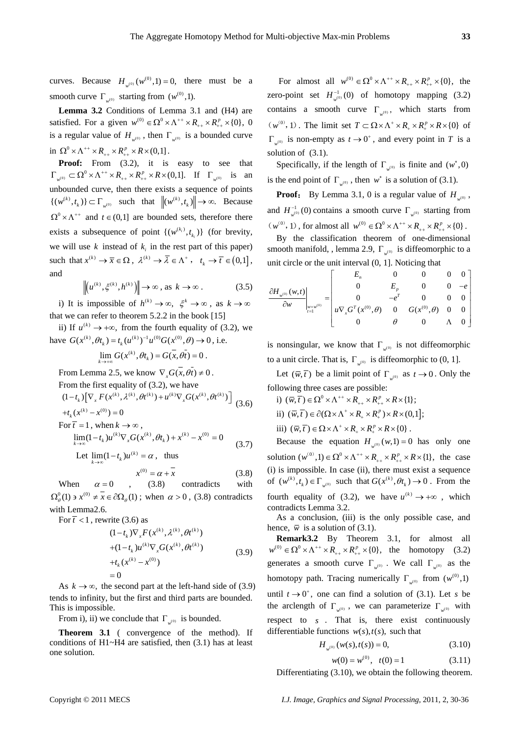curves. Because  $H_{w^{(0)}}(w^{(0)}, 1) = 0$ , there must be a smooth curve  $\Gamma_{w^{(0)}}$  starting from  $(w^{(0)}, 1)$ .

**Lemma 3.2** Conditions of Lemma 3.1 and (H4) are satisfied. For a given  $w^{(0)} \in \Omega^0 \times \Lambda^{++} \times R_{++} \times R_{++}^p \times \{0\}$ , 0 is a regular value of  $H_{w^{(0)}}$ , then  $\Gamma_{w^{(0)}}$  is a bounded curve in  $\Omega^0 \times \Lambda^{++} \times R_{++} \times R_{++}^p \times R \times (0,1]$ .

**Proof:** From (3.2), it is easy to see that  $\Gamma_{w^{(0)}} \subset \Omega^0 \times \Lambda^{++} \times R_{++} \times R_{++}^p \times R \times (0,1].$  If  $\Gamma_{w^{(0)}}$  is an unbounded curve, then there exists a sequence of points  $\{(w^{(k)}, t_k)\}\subset \Gamma_{w^{(0)}}$  such that  $\|(w^{(k)}, t_k)\| \to \infty$ . Because  $\Omega^0 \times \Lambda^{++}$  and  $t \in (0,1]$  are bounded sets, therefore there exists a subsequence of point  $\{(w^{(k_i)}, t_{k_i})\}$  (for brevity, we will use  $k$  instead of  $k_i$  in the rest part of this paper) such that  $x^{(k)} \to \overline{x} \in \Omega$ ,  $\lambda^{(k)} \to \overline{\lambda} \in \Lambda^+$ ,  $t_k \to \overline{t} \in (0,1]$ , and

$$
\left\| \left( u^{(k)}, \xi^{(k)}, h^{(k)} \right) \right\| \to \infty, \text{ as } k \to \infty. \tag{3.5}
$$

i) It is impossible of  $h^{(k)} \to \infty$ ,  $\xi^k \to \infty$ , as  $k \to \infty$ that we can refer to theorem 5.2.2 in the book [15]

ii) If  $u^{(k)} \rightarrow +\infty$ , from the fourth equality of (3.2), we have  $G(x^{(k)}, \theta t_k) = t_k (u^{(k)})^{-1} u^{(0)} G(x^{(0)}, \theta) \rightarrow 0$ , i.e.

$$
\lim_{k\to+\infty} G(x^{(k)},\theta t_k) = G(\overline{x},\overline{\theta t}) = 0.
$$

From Lemma 2.5, we know  $\nabla_{\mathbf{x}} G(\mathbf{x}, \theta \mathbf{t}) \neq 0$ .

From the first equality of (3.2), we have

$$
(1-tk) [\nablax F(x(k), \lambda(k), \theta t(k)) + u(k) \nablax G(x(k), \theta t(k))]
$$
  
+ $tk (x(k) - x(0)) = 0$  (3.6)

For 
$$
\overline{t} = 1
$$
, when  $k \to \infty$ ,  
\n
$$
\lim_{k \to \infty} (1 - t_k) u^{(k)} \nabla_x G(x^{(k)}, \theta t_k) + x^{(k)} - x^{(0)} = 0
$$
\n(3.7)

Let  $\lim_{k \to \infty} (1 - t_k) u^{(k)} = \alpha$ , thus

$$
x^{(0)} = \alpha + \overline{x} \tag{3.8}
$$

When  $\alpha = 0$ , (3.8) contradicts with  $\Omega_{a}^{0}(1) \ni x^{(0)} \neq x \in \partial \Omega_{a}(1)$ ; when  $\alpha > 0$ , (3.8) contradicts with Lemma2.6.

For  $\bar{t}$  < 1, rewrite (3.6) as

$$
(1-tk)\nablaxF(x(k), \lambda(k), \theta t(k))+ (1-tk)u(k)\nablaxG(x(k), \theta t(k))+ tk(x(k) - x(0))= 0
$$
\n(3.9)

As  $k \to \infty$ , the second part at the left-hand side of (3.9) tends to infinity, but the first and third parts are bounded. This is impossible.

From i), ii) we conclude that  $\Gamma_{\mu}$  is bounded.

**Theorem 3.1** ( convergence of the method). If conditions of H1~H4 are satisfied, then (3.1) has at least one solution.

(*w*<sup>(0)</sup>, 1). The limit set  $T \subset \Omega \times \Lambda^+ \times R_+ \times R_+^p \times R \times \{0\}$  of For almost all  $w^{(0)} \in \Omega^0 \times \Lambda^{++} \times R_{++} \times R_{++}^p \times \{0\}$ , the zero-point set  $H_{w^{(0)}}^{-1}(0)$  of homotopy mapping (3.2) contains a smooth curve  $\Gamma_{w^{(0)}}$ , which starts from  $\Gamma_{w^{(0)}}$  is non-empty as  $t \to 0^+$ , and every point in *T* is a solution of (3.1).

Specifically, if the length of  $\Gamma_{w^{(0)}}$  is finite and  $(w^*,0)$ is the end point of  $\Gamma_{w^{(0)}}$ , then  $w^*$  is a solution of (3.1).

**Proof:** By Lemma 3.1, 0 is a regular value of  $H_{\psi^{(0)}}$ , and  $H_{w^{(0)}}^{-1}(0)$  contains a smooth curve  $\Gamma_{w^{(0)}}$  starting from  $(w^{(0)}, 1)$ , for almost all  $w^{(0)} \in \Omega^0 \times \Lambda^{++} \times R_{++} \times R_{++}^p \times \{0\}$ .

By the classification theorem of one-dimensional smooth manifold, , lemma 2.9, Γ<sub>*w*<sup>(0)</sup></sub> is diffeomorphic to a unit circle or the unit interval (0, 1]. Noticing that

$$
\left.\frac{\partial H_{w^{(0)}}(w,t)}{\partial w}\right|_{w=w^{(0)}} = \left|\begin{array}{cccc} E_n & 0 & 0 & 0 & 0 \\ 0 & E_p & 0 & 0 & -e \\ 0 & -e^T & 0 & 0 & 0 \\ u\nabla_x G^T(x^{(0)}, \theta) & 0 & G(x^{(0)}, \theta) & 0 & 0 \\ 0 & \theta & 0 & \Lambda & 0 \end{array}\right|
$$

is nonsingular, we know that  $\Gamma_{w^{(0)}}$  is not diffeomorphic to a unit circle. That is,  $\Gamma_{w^{(0)}}$  is diffeomorphic to (0, 1].

Let  $(\overline{w}, \overline{t})$  be a limit point of  $\Gamma_{w^{(0)}}$  as  $t \to 0$ . Only the following three cases are possible:

i) 
$$
(\overline{w}, \overline{t}) \in \Omega^0 \times \Lambda^{++} \times R_{++} \times R_{++}^p \times R \times \{1\};
$$
  
ii)  $(\overline{w}, \overline{t}) \in \partial(\Omega \times \Lambda^+ \times R_+ \times R_+^p) \times R \times (0,1];$   
iii)  $(\overline{w}, \overline{t}) \in \Omega \times \Lambda^+ \times R_+ \times R_+^p \times R \times \{0\}.$ 

Because the equation  $H_{w^{(0)}}(w,1) = 0$  has only one solution  $(w^{(0)}, 1) \in \Omega^0 \times \Lambda^{++} \times R_{++} \times R_{++}^p \times R \times \{1\}$ , the case (i) is impossible. In case (ii), there must exist a sequence of  $(w^{(k)}, t_k) \in \Gamma_{w^{(0)}}$  such that  $G(x^{(k)}, \theta t_k) \to 0$ . From the fourth equality of (3.2), we have  $u^{(k)} \rightarrow +\infty$ , which contradicts Lemma 3.2.

As a conclusion, (iii) is the only possible case, and hence,  $\overline{w}$  is a solution of (3.1).

**Remark3.2** By Theorem 3.1, for almost all  $w^{(0)} \in \Omega^0 \times \Lambda^{++} \times R_{++} \times R_{++}^p \times \{0\}, \text{ the homotopy } (3.2)$ generates a smooth curve  $\Gamma_{w^{(0)}}$ . We call  $\Gamma_{w^{(0)}}$  as the homotopy path. Tracing numerically  $\Gamma_{w^{(0)}}$  from  $(w^{(0)}, 1)$ until  $t \rightarrow 0^+$ , one can find a solution of (3.1). Let *s* be the arclength of  $\Gamma_{\mu^{(0)}}$ , we can parameterize  $\Gamma_{\mu^{(0)}}$  with respect to *s* . That is, there exist continuously differentiable functions  $w(s)$ ,  $t(s)$ , such that

$$
H_{w^{(0)}}(w(s),t(s)) = 0,
$$
\n(3.10)

$$
w(0) = w^{(0)}, \quad t(0) = 1 \tag{3.11}
$$

Differentiating (3.10), we obtain the following theorem.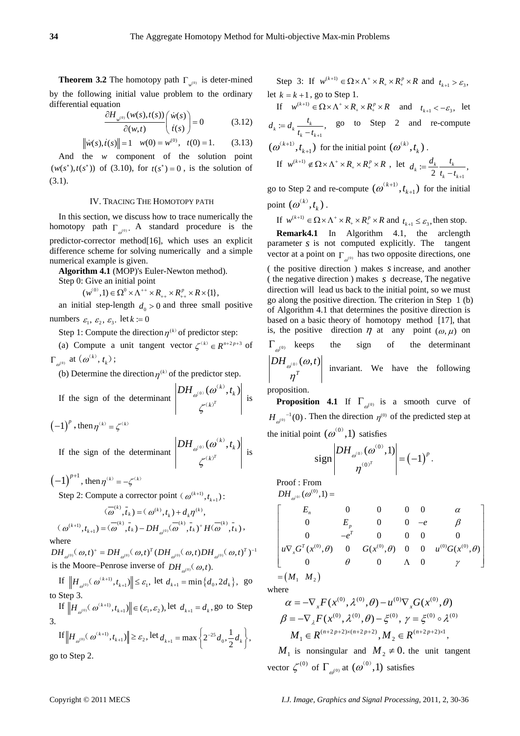**Theorem 3.2** The homotopy path  $\Gamma_{w^{(0)}}$  is deter-mined by the following initial value problem to the ordinary differential equation

$$
\frac{\partial H_{w^{(0)}}(w(s),t(s))}{\partial(w,t)}\left(\begin{array}{c}\dot{w}(s)\\ \dot{t}(s)\end{array}\right)=0
$$
\n(3.12)

 $\|\dot{w}(s), \dot{t}(s)\| = 1 \quad w(0) = w^{(0)}, \quad t(0) = 1.$  (3.13)

And the *w* component of the solution point  $(w(s^*), t(s^*))$  of (3.10), for  $t(s^*) = 0$ , is the solution of (3.1).

# IV. TRACING THE HOMOTOPY PATH

In this section, we discuss how to trace numerically the homotopy path  $\Gamma_{\omega^{(0)}}$ . A standard procedure is the predictor-corrector method[16], which uses an explicit difference scheme for solving numerically and a simple numerical example is given.

**Algorithm 4.1** (MOP)'s Euler-Newton method).

Step 0: Give an initial point  $(w^{(0)}, 1) \in \Omega^0 \times \Lambda^{++} \times R_{++} \times R_{++}^p \times R \times \{1\},$ 

an initial step-length  $d_0 > 0$  and three small positive numbers  $\varepsilon_1$ ,  $\varepsilon_2$ ,  $\varepsilon_3$ . let  $k := 0$ 

Step 1: Compute the direction  $\eta^{(k)}$  of predictor step:

(a) Compute a unit tangent vector  $\zeta^{(k)} \in R^{n+2p+3}$  of  $\Gamma_{\omega^{(0)}}$  at  $(\omega^{(k)}, t_k)$ ;

(b) Determine the direction  $\eta^{(k)}$  of the predictor step.

If the sign of the determinant  $\left| DH_{\omega^{(0)}}(\omega^{(k)}, \right|)$  $DH_{\mathscr{a}^{\scriptscriptstyle{(0)}}}(\mathscr{a}^{\scriptscriptstyle{(k)}},t)$ 

 $(-1)^p$ , then  $\eta^{(k)} = \zeta^{(k)}$ 

If the sign of the determinant 
$$
\begin{vmatrix} DH_{\omega^{(0)}}(\omega^{(k)}, t_k) \\ \zeta^{(k)^T} \end{vmatrix}
$$
 is

 $(-1)^{p+1}$ , then  $\eta^{(k)} = -\zeta^{(k)}$ 

Step 2: Compute a corrector point  $(\omega^{(k+1)}, t_{k+1})$ :

$$
(\overline{\omega}^{(k)}, \overline{t}_k) = (\omega^{(k)}, t_k) + d_k \eta^{(k)},
$$
  

$$
(\omega^{(k+1)}, t_{k+1}) = (\overline{\omega}^{(k)}, \overline{t}_k) - DH_{\omega^{(0)}}(\overline{\omega}^{(k)}, \overline{t}_k) + H(\overline{\omega}^{(k)}, \overline{t}_k),
$$

where

is the Moore–Penrose inverse of  $DH_{\omega^{(0)}}(\omega, t)$ .  $DH_{\omega^{(0)}}(\omega,t)^{+} = DH_{\omega^{(0)}}(\omega,t)^{T} (DH_{\omega^{(0)}}(\omega,t)DH_{\omega^{(0)}}(\omega,t)^{T})^{-1}$ 

If  $||H_{\omega^{(0)}}(\omega^{(k+1)}, t_{k+1})|| \leq \varepsilon_1$ , let  $d_{k+1} = \min\{d_0, 2d_k\}$ , go to Step 3.

If  $||H_{\omega^{(0)}}(\omega^{(k+1)}, t_{k+1})|| \in (\varepsilon_1, \varepsilon_2)$ , let  $d_{k+1} = d_k$ , go to Step 3.

If 
$$
||H_{\omega^{(0)}}(\omega^{(k+1)}, t_{k+1})|| \ge \varepsilon_2
$$
, let  $d_{k+1} = \max\left\{2^{-25}d_0, \frac{1}{2}d_k\right\}$ ,  
go to Step 2.

Step 3: If  $w^{(k+1)} \in \Omega \times \Lambda^+ \times R_+ \times R_+^p \times R$  and  $t_{k+1} > \varepsilon_3$ , let  $k = k + 1$ , go to Step 1.

If  $w^{(k+1)} \in \Omega \times \Lambda^+ \times R_+ \times R_+^p \times R$  and  $t_{k+1} < -\varepsilon_3$ , let  $t_k := d_k \frac{t_k}{t_k - t_{k+1}},$  go to Step  $d_k := d_k - \frac{1}{k}$  $= d_k \frac{t_k}{t_k - t_{k+1}},$  go to Step 2 and re-compute  $(a^{(k+1)}, t_{k+1})$  for the initial point  $(a^{(k)}, t_k)$ . If  $w^{(k+1)} \notin \Omega \times \Lambda^+ \times R_+ \times R_+^p \times R$ , let  $t_k := \frac{d_k}{2} \frac{t_k}{t_k - t_{k+1}},$  $d_k := \frac{a_k}{2} \frac{v_k}{t_k - t_{k+1}}$ go to Step 2 and re-compute  $(\boldsymbol{\omega}^{(k+1)}, t_{k+1})$  for the initial  $(k+1)$ 

point  $(\omega^{(k)}, t_k)$ .

If  $w^{(k+1)} \in \Omega \times \Lambda^+ \times R_+ \times R_+^p \times R$  and  $t_{k+1} \leq \varepsilon_3$ , then stop.

**Remark4.1** In Algorithm 4.1, the arclength parameter *s* is not computed explicitly. The tangent vector at a point on  $\Gamma_{\omega^{(0)}}$  has two opposite directions, one ( the positive direction ) makes *s* increase, and another ( the negative direction ) makes *s* decrease, The negative direction will lead us back to the initial point, so we must go along the positive direction. The criterion in Step 1 (b) of Algorithm 4.1 that determines the positive direction is based on a basic theory of homotopy method [17], that is, the positive direction  $\eta$  at any point  $(\omega, \mu)$  on  $\Gamma_{\alpha^{(0)}}$  keeps the sign of the determinant  $DH_{\omega^{(0)}(0,t)}\Big|$  invariant.  $\left| \frac{\partial u}{\partial t} \right|$  invariant. We have the following

propositio n.

*k k* ) is

*k*

 $_{\circledcirc}$   $(\boldsymbol{\mathit{\omega}}^{(k)},$  $-(k)^T$ 

ζ

**Proposition 4.1** If  $\Gamma_{\omega^{(0)}}$  is a smooth curve of  $H_{\omega^{(0)}}^{-1}(0)$ . Then the direction  $\eta^{(0)}$  of the predicted step at the initial point  $(\omega^{(0)}, 1)$  satisfies

$$
\text{sign}\left|\frac{DH_{\omega^{(0)}}(\omega^{(0)},1)}{\eta^{(0)^T}}\right|=\left(-1\right)^p.
$$

Proof : From

$$
DH_{\omega^{(0)}}(\omega^{(0)},1)=
$$
\n
$$
\begin{bmatrix}\nE_n & 0 & 0 & 0 & 0 & \alpha \\
0 & E_p & 0 & 0 & -e & \beta \\
0 & -e^T & 0 & 0 & 0 & 0 \\
u\nabla_x G^T(x^{(0)}, \theta) & 0 & G(x^{(0)}, \theta) & 0 & u^{(0)} G(x^{(0)}, \theta) \\
0 & \theta & 0 & \Lambda & 0 & \gamma\n\end{bmatrix}
$$
\n
$$
= (M_1 \ M_2)
$$

where

$$
\alpha = -\nabla_{x} F(x^{(0)}, \lambda^{(0)}, \theta) - u^{(0)} \nabla_{x} G(x^{(0)}, \theta)
$$
  

$$
\beta = -\nabla_{\lambda} F(x^{(0)}, \lambda^{(0)}, \theta) - \xi^{(0)}, \gamma = \xi^{(0)} \circ \lambda^{(0)}
$$
  

$$
M_{1} \in R^{(n+2p+2)\times (n+2p+2)}, M_{2} \in R^{(n+2p+2)\times 1},
$$

*M*<sub>1</sub> is nonsingular and  $M_2 \neq 0$ . the unit tangent vector  $\zeta^{(0)}$  of  $\Gamma_{\omega^{(0)}}$  at  $(\omega^{(0)}, 1)$  satisfies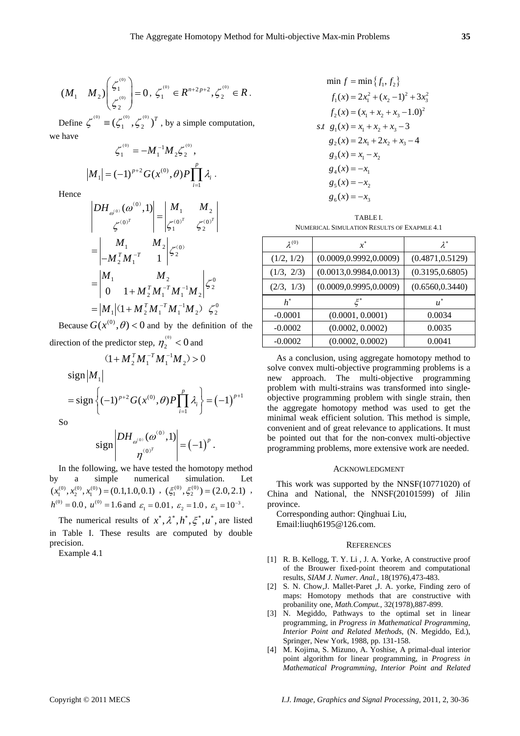$$
(M_1 \t M_2) \begin{pmatrix} \zeta_1^{^{(0)}} \\ \zeta_2^{^{(0)}} \end{pmatrix} = 0, \ \zeta_1^{^{(0)}} \in R^{n+2p+2}, \zeta_2^{^{(0)}} \in R \, .
$$

Define  $\zeta^{(0)} \equiv (\zeta_1^{(0)}, \zeta_2^{(0)})^T$ , by a simple computation, we have

$$
\zeta_1^{(0)} = -M_1^{-1} M_2 \zeta_2^{(0)},
$$
  

$$
|M_1| = (-1)^{p+2} G(x^{(0)}, \theta) P \prod_{i=1}^p \lambda_i.
$$

Hence

$$
\begin{vmatrix} DH_{\omega^{(0)}}(\omega^{(0)}, 1) \ \zeta^{(0)^T} \end{vmatrix} = \begin{vmatrix} M_1 & M_2 \ \zeta^{(0)^T} & \zeta^{(0)^T} \end{vmatrix}
$$

$$
= \begin{vmatrix} M_1 & M_2 \ -M_2^T M_1^{-T} & 1 \ 0 & 1 + M_2^T M_1^{-T} M_1^{-1} M_2 \end{vmatrix} \zeta_2^{(0)}
$$

$$
= |M_1| (1 + M_2^T M_1^{-T} M_1^{-1} M_2) \zeta_2^{(0)}
$$

Because  $G(x^{(0)}, \theta) < 0$  and by the definition of the direction of the predictor step,  $\eta_2^{^{(0)}}$  < 0 and

$$
T_{2} = 0
$$
 and 
$$
T_{2} = 0
$$

$$
(1 + M_2^T M_1^{-T} M_1^{-1} M_2) > 0
$$

sign 
$$
|M_1|
$$
  
= sign  $\left\{ (-1)^{p+2} G(x^{(0)}, \theta) P \prod_{i=1}^p \lambda_i \right\} = (-1)^{p+1}$ 

So

$$
\text{sign}\left|\frac{DH_{\omega^{(0)}}(\omega^{(0)},1)}{\eta^{(0)^T}}\right| = (-1)^p.
$$

In the following, we have tested the homotopy method by a simple numerical simulation. Let  $(x_1^{(0)}, x_2^{(0)}, x_1^{(0)}) = (0.1, 1.0, 0.1) , (\xi_1^{(0)}, \xi_2^{(0)}) = (2.0, 2.1) ,$  $h^{(0)} = 0.0$ ,  $u^{(0)} = 1.6$  and  $\varepsilon_1 = 0.01$ ,  $\varepsilon_2 = 1.0$ ,  $\varepsilon_3 = 10^{-3}$ .

The numerical results of  $x^*, \lambda^*, h^*, \xi^*, u^*$ , are listed in Table I. These results are computed by double precision.

Example 4.1

$$
\min f = \min \{f_1, f_2\}
$$
\n
$$
f_1(x) = 2x_1^2 + (x_2 - 1)^2 + 3x_3^2
$$
\n
$$
f_2(x) = (x_1 + x_2 + x_3 - 1.0)^2
$$
\nst

\n
$$
g_1(x) = x_1 + x_2 + x_3 - 3
$$
\n
$$
g_2(x) = 2x_1 + 2x_2 + x_3 - 4
$$
\n
$$
g_3(x) = x_1 - x_2
$$
\n
$$
g_4(x) = -x_1
$$
\n
$$
g_5(x) = -x_2
$$
\n
$$
g_6(x) = -x_3
$$

$$
\begin{array}{c} \text{TABLE I.} \\ \text{NUMBER CAL SIMULATION RESULTS OF EXAMPLE 4.1} \end{array}
$$

| $\lambda^{(0)}$ | $x^*$                    | $\lambda^*$      |
|-----------------|--------------------------|------------------|
| (1/2, 1/2)      | (0.0009, 0.9992, 0.0009) | (0.4871, 0.5129) |
| (1/3, 2/3)      | (0.0013, 0.9984, 0.0013) | (0.3195, 0.6805) |
| (2/3, 1/3)      | (0.0009, 0.9995, 0.0009) | (0.6560, 0.3440) |
| $h^*$           |                          | $u^*$            |
| $-0.0001$       | (0.0001, 0.0001)         | 0.0034           |
| $-0.0002$       | (0.0002, 0.0002)         | 0.0035           |
| $-0.0002$       | (0.0002, 0.0002)         | 0.0041           |

As a conclusion, using aggregate homotopy method to solve convex multi-objective programming problems is a new approach. The multi-objective programming problem with multi-strains was transformed into singleobjective programming problem with single strain, then the aggregate homotopy method was used to get the minimal weak efficient solution. This method is simple, convenient and of great relevance to applications. It must be pointed out that for the non-convex multi-objective programming problems, more extensive work are needed.

# ACKNOWLEDGMENT

This work was supported by the NNSF(10771020) of China and National, the NNSF(20101599) of Jilin province.

Corresponding author: Qinghuai Liu, Email:liuqh6195@126.com.

### **REFERENCES**

- [1] R. B. Kellogg, T. Y. Li , J. A. Yorke, A constructive proof of the Brouwer fixed-point theorem and computational results, *SIAM J. Numer. Anal.*, 18(1976),473-483.
- [2] S. N. Chow,J. Mallet-Paret ,J. A. yorke, Finding zero of maps: Homotopy methods that are constructive with probanility one, *Math.Comput.*, 32(1978),887-899.
- [3] N. Megiddo, Pathways to the optimal set in linear programming, in *Progress in Mathematical Programming, Interior Point and Related Methods*, (N. Megiddo, Ed.), Springer, New York, 1988, pp. 131-158.
- [4] M. Kojima, S. Mizuno, A. Yoshise, A primal-dual interior point algorithm for linear programming, in *Progress in Mathematical Programming, Interior Point and Related*